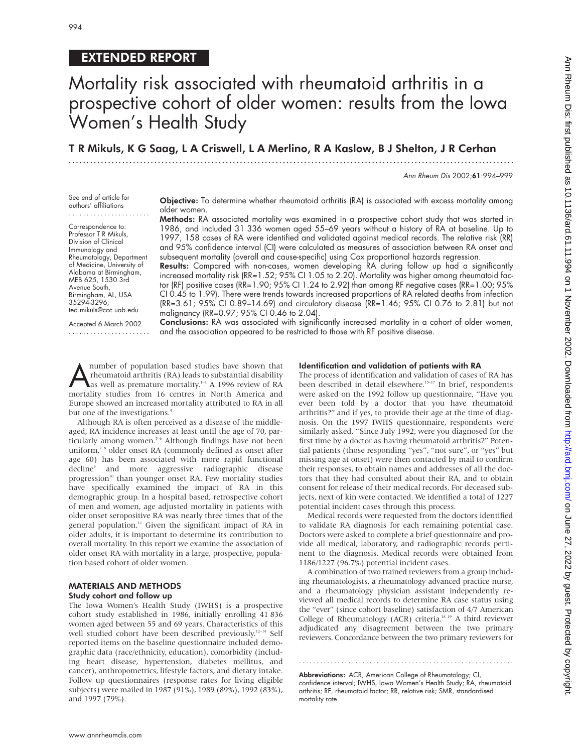# EXTENDED REPORT

# Mortality risk associated with rheumatoid arthritis in a prospective cohort of older women: results from the Iowa Women's Health Study

T R Mikuls, K G Saag, L A Criswell, L A Merlino, R A Kaslow, B J Shelton, J R Cerhan

.............................................................................................................................

Ann Rheum Dis 2002;61:994–999

See end of article for authors' affiliations .......................

Correspondence to: Professor T R Mikuls, Division of Clinical Immunology and Rheumatology, Department of Medicine, University of Alabama at Birmingham, MEB 625, 1530 3rd Avenue South, Birmingham, AL, USA 35294-3296; ted.mikuls@ccc.uab.edu

Accepted 6 March 2002 .......................

Objective: To determine whether rheumatoid arthritis (RA) is associated with excess mortality among older women.

Methods: RA associated mortality was examined in a prospective cohort study that was started in 1986, and included 31 336 women aged 55–69 years without a history of RA at baseline. Up to 1997, 158 cases of RA were identified and validated against medical records. The relative risk (RR) and 95% confidence interval (CI) were calculated as measures of association between RA onset and subsequent mortality (overall and cause-specific) using Cox proportional hazards regression.

Results: Compared with non-cases, women developing RA during follow up had a significantly increased mortality risk (RR=1.52; 95% CI 1.05 to 2.20). Mortality was higher among rheumatoid factor (RF) positive cases (RR=1.90; 95% CI 1.24 to 2.92) than among RF negative cases (RR=1.00; 95% CI 0.45 to 1.99). There were trends towards increased proportions of RA related deaths from infection (RR=3.61; 95% CI 0.89–14.69) and circulatory disease (RR=1.46; 95% CI 0.76 to 2.81) but not malignancy (RR=0.97; 95% CI 0.46 to 2.04).

Conclusions: RA was associated with significantly increased mortality in a cohort of older women, and the association appeared to be restricted to those with RF positive disease.

number of population based studies have shown that<br>the prematoid arthritis (RA) leads to substantial disability<br>as well as premature mortality.<sup>1-3</sup> A 1996 review of RA<br>mortality studies from 16 centres in North America an rheumatoid arthritis (RA) leads to substantial disability mortality studies from 16 centres in North America and Europe showed an increased mortality attributed to RA in all but one of the investigations.<sup>4</sup>

Although RA is often perceived as a disease of the middleaged, RA incidence increases at least until the age of 70, particularly among women.<sup>5 6</sup> Although findings have not been uniform,7 8 older onset RA (commonly defined as onset after age 60) has been associated with more rapid functional decline<sup>9</sup> and more aggressive radiographic disease progression<sup>10</sup> than younger onset RA. Few mortality studies have specifically examined the impact of RA in this demographic group. In a hospital based, retrospective cohort of men and women, age adjusted mortality in patients with older onset seropositive RA was nearly three times that of the general population.<sup>11</sup> Given the significant impact of RA in older adults, it is important to determine its contribution to overall mortality. In this report we examine the association of older onset RA with mortality in a large, prospective, population based cohort of older women.

# MATERIALS AND METHODS

## Study cohort and follow up

The Iowa Women's Health Study (IWHS) is a prospective cohort study established in 1986, initially enrolling 41 836 women aged between 55 and 69 years. Characteristics of this well studied cohort have been described previously.<sup>12-14</sup> Self reported items on the baseline questionnaire included demographic data (race/ethnicity, education), comorbidity (including heart disease, hypertension, diabetes mellitus, and cancer), anthropometrics, lifestyle factors, and dietary intake. Follow up questionnaires (response rates for living eligible subjects) were mailed in 1987 (91%), 1989 (89%), 1992 (83%), and 1997 (79%).

## Identification and validation of patients with RA

The process of identification and validation of cases of RA has been described in detail elsewhere.<sup>15-17</sup> In brief, respondents were asked on the 1992 follow up questionnaire, "Have you ever been told by a doctor that you have rheumatoid arthritis?" and if yes, to provide their age at the time of diagnosis. On the 1997 IWHS questionnaire, respondents were similarly asked, "Since July 1992, were you diagnosed for the first time by a doctor as having rheumatoid arthritis?" Potential patients (those responding "yes", "not sure", or "yes" but missing age at onset) were then contacted by mail to confirm their responses, to obtain names and addresses of all the doctors that they had consulted about their RA, and to obtain consent for release of their medical records. For deceased subjects, next of kin were contacted. We identified a total of 1227 potential incident cases through this process.

Medical records were requested from the doctors identified to validate RA diagnosis for each remaining potential case. Doctors were asked to complete a brief questionnaire and provide all medical, laboratory, and radiographic records pertinent to the diagnosis. Medical records were obtained from 1186/1227 (96.7%) potential incident cases.

A combination of two trained reviewers from a group including rheumatologists, a rheumatology advanced practice nurse, and a rheumatology physician assistant independently reviewed all medical records to determine RA case status using the "ever" (since cohort baseline) satisfaction of 4/7 American College of Rheumatology (ACR) criteria.18 19 A third reviewer adjudicated any disagreement between the two primary reviewers. Concordance between the two primary reviewers for

Abbreviations: ACR, American College of Rheumatology; CI, confidence interval; IWHS, Iowa Women's Health Study; RA, rheumatoid arthritis; RF, rheumatoid factor; RR, relative risk; SMR, standardised mortality rate

.............................................................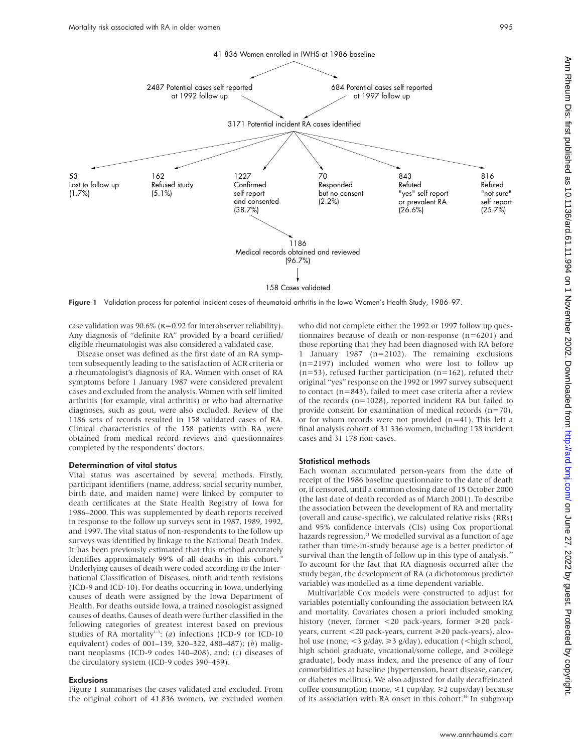

Figure 1 Validation process for potential incident cases of rheumatoid arthritis in the Iowa Women's Health Study, 1986–97.

case validation was 90.6% (κ=0.92 for interobserver reliability). Any diagnosis of "definite RA" provided by a board certified/ eligible rheumatologist was also considered a validated case.

Disease onset was defined as the first date of an RA symptom subsequently leading to the satisfaction of ACR criteria or a rheumatologist's diagnosis of RA. Women with onset of RA symptoms before 1 January 1987 were considered prevalent cases and excluded from the analysis. Women with self limited arthritis (for example, viral arthritis) or who had alternative diagnoses, such as gout, were also excluded. Review of the 1186 sets of records resulted in 158 validated cases of RA. Clinical characteristics of the 158 patients with RA were obtained from medical record reviews and questionnaires completed by the respondents' doctors.

### Determination of vital status

Vital status was ascertained by several methods. Firstly, participant identifiers (name, address, social security number, birth date, and maiden name) were linked by computer to death certificates at the State Health Registry of Iowa for 1986–2000. This was supplemented by death reports received in response to the follow up surveys sent in 1987, 1989, 1992, and 1997. The vital status of non-respondents to the follow up surveys was identified by linkage to the National Death Index. It has been previously estimated that this method accurately identifies approximately 99% of all deaths in this cohort.<sup>20</sup> Underlying causes of death were coded according to the International Classification of Diseases, ninth and tenth revisions (ICD-9 and ICD-10). For deaths occurring in Iowa, underlying causes of death were assigned by the Iowa Department of Health. For deaths outside Iowa, a trained nosologist assigned causes of deaths. Causes of death were further classified in the following categories of greatest interest based on previous studies of RA mortality<sup>1-3</sup>: (*a*) infections (ICD-9 (or ICD-10 equivalent) codes of 001–139, 320–322, 480–487); (*b*) malignant neoplasms (ICD-9 codes 140–208), and; (*c*) diseases of the circulatory system (ICD-9 codes 390–459).

### Exclusions

Figure 1 summarises the cases validated and excluded. From the original cohort of 41 836 women, we excluded women

who did not complete either the 1992 or 1997 follow up questionnaires because of death or non-response (n=6201) and those reporting that they had been diagnosed with RA before 1 January 1987 (n=2102). The remaining exclusions (n=2197) included women who were lost to follow up  $(n=53)$ , refused further participation  $(n=162)$ , refuted their original "yes" response on the 1992 or 1997 survey subsequent to contact (n=843), failed to meet case criteria after a review of the records (n=1028), reported incident RA but failed to provide consent for examination of medical records (n=70), or for whom records were not provided  $(n=41)$ . This left a final analysis cohort of 31 336 women, including 158 incident cases and 31 178 non-cases.

#### Statistical methods

Each woman accumulated person-years from the date of receipt of the 1986 baseline questionnaire to the date of death or, if censored, until a common closing date of 15 October 2000 (the last date of death recorded as of March 2001). To describe the association between the development of RA and mortality (overall and cause-specific), we calculated relative risks (RRs) and 95% confidence intervals (CIs) using Cox proportional hazards regression.<sup>21</sup> We modelled survival as a function of age rather than time-in-study because age is a better predictor of survival than the length of follow up in this type of analysis.<sup>22</sup> To account for the fact that RA diagnosis occurred after the study began, the development of RA (a dichotomous predictor variable) was modelled as a time dependent variable.

Multivariable Cox models were constructed to adjust for variables potentially confounding the association between RA and mortality. Covariates chosen a priori included smoking history (never, former <20 pack-years, former >20 packyears, current <20 pack-years, current ≥20 pack-years), alcohol use (none, <3 g/day, ≥3 g/day), education (<high school, high school graduate, vocational/some college, and  $\geq$ college graduate), body mass index, and the presence of any of four comorbidities at baseline (hypertension, heart disease, cancer, or diabetes mellitus). We also adjusted for daily decaffeinated coffee consumption (none,  $\leq 1$  cup/day,  $\geq 2$  cups/day) because of its association with RA onset in this cohort.<sup>16</sup> In subgroup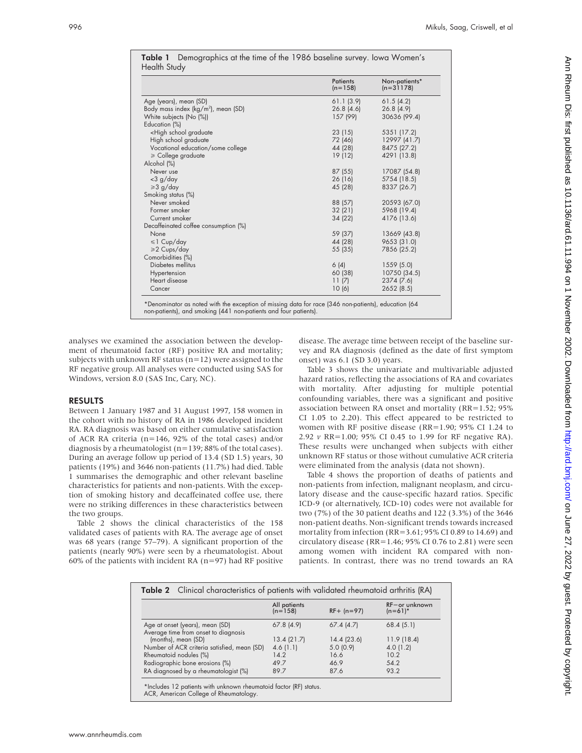|                                                                               | <b>Patients</b><br>$(n=158)$ | Non-patients*<br>$(n=31178)$ |
|-------------------------------------------------------------------------------|------------------------------|------------------------------|
| Age (years), mean (SD)                                                        | 61.1(3.9)                    | 61.5(4.2)                    |
| Body mass index $(kg/m2)$ , mean (SD)                                         | 26.8(4.6)                    | 26.8(4.9)                    |
| White subjects (No (%))                                                       | 157 (99)                     | 30636 (99.4)                 |
| Education (%)                                                                 |                              |                              |
| <high graduate<="" school="" td=""><td>23(15)</td><td>5351 (17.2)</td></high> | 23(15)                       | 5351 (17.2)                  |
| High school graduate                                                          | 72 (46)                      | 12997 (41.7)                 |
| Vocational education/some college                                             | 44 (28)                      | 8475 (27.2)                  |
| $\geq$ College graduate                                                       | 19(12)                       | 4291 (13.8)                  |
| Alcohol (%)                                                                   |                              |                              |
| Never use                                                                     | 87 (55)                      | 17087 (54.8)                 |
| $<$ 3 g/day                                                                   | 26 (16)                      | 5754 (18.5)                  |
| $\geq 3$ g/day                                                                | 45 (28)                      | 8337 (26.7)                  |
| Smoking status (%)                                                            |                              |                              |
| Never smoked                                                                  | 88 (57)                      | 20593 (67.0)                 |
| Former smoker                                                                 | 32(21)                       | 5968 (19.4)                  |
| Current smoker                                                                | 34 (22)                      | 4176 (13.6)                  |
| Decaffeinated coffee consumption (%)                                          |                              |                              |
| None                                                                          | 59 (37)                      | 13669 (43.8)                 |
| $\leq 1$ Cup/day                                                              | 44 (28)                      | 9653 (31.0)                  |
| $\geq 2$ Cups/day                                                             | 55 (35)                      | 7856 (25.2)                  |
| Comorbidities (%)                                                             |                              |                              |
| Diabetes mellitus                                                             | 6(4)                         | 1559(5.0)                    |
| Hypertension                                                                  | 60 (38)                      | 10750 (34.5)                 |
| <b>Heart disease</b>                                                          | 11(7)                        | 2374 (7.6)                   |
| Cancer                                                                        | 10(6)                        | 2652 (8.5)                   |

Table 1 Demographics at the time of the 1986 baseline survey. Iowa Women's Health Study

\*Denominator as noted with the exception of missing data for race (346 non-patients), education (64 non-patients), and smoking (441 non-patients and four patients).

analyses we examined the association between the development of rheumatoid factor (RF) positive RA and mortality; subjects with unknown RF status ( $n=12$ ) were assigned to the RF negative group. All analyses were conducted using SAS for Windows, version 8.0 (SAS Inc, Cary, NC).

# RESULTS

Between 1 January 1987 and 31 August 1997, 158 women in the cohort with no history of RA in 1986 developed incident RA. RA diagnosis was based on either cumulative satisfaction of ACR RA criteria (n=146, 92% of the total cases) and/or diagnosis by a rheumatologist (n=139; 88% of the total cases). During an average follow up period of 13.4 (SD 1.5) years, 30 patients (19%) and 3646 non-patients (11.7%) had died. Table 1 summarises the demographic and other relevant baseline characteristics for patients and non-patients. With the exception of smoking history and decaffeinated coffee use, there were no striking differences in these characteristics between the two groups.

Table 2 shows the clinical characteristics of the 158 validated cases of patients with RA. The average age of onset was 68 years (range 57–79). A significant proportion of the patients (nearly 90%) were seen by a rheumatologist. About 60% of the patients with incident RA ( $n=97$ ) had RF positive

disease. The average time between receipt of the baseline survey and RA diagnosis (defined as the date of first symptom onset) was 6.1 (SD 3.0) years.

Table 3 shows the univariate and multivariable adjusted hazard ratios, reflecting the associations of RA and covariates with mortality. After adjusting for multiple potential confounding variables, there was a significant and positive association between RA onset and mortality (RR=1.52; 95% CI 1.05 to 2.20). This effect appeared to be restricted to women with RF positive disease (RR=1.90; 95% CI 1.24 to 2.92 *v* RR=1.00; 95% CI 0.45 to 1.99 for RF negative RA). These results were unchanged when subjects with either unknown RF status or those without cumulative ACR criteria were eliminated from the analysis (data not shown).

Table 4 shows the proportion of deaths of patients and non-patients from infection, malignant neoplasm, and circulatory disease and the cause-specific hazard ratios. Specific ICD-9 (or alternatively, ICD-10) codes were not available for two (7%) of the 30 patient deaths and 122 (3.3%) of the 3646 non-patient deaths. Non-significant trends towards increased mortality from infection (RR=3.61; 95% CI 0.89 to 14.69) and circulatory disease (RR=1.46; 95% CI 0.76 to 2.81) were seen among women with incident RA compared with nonpatients. In contrast, there was no trend towards an RA

|                                             | All patients<br>$(n=158)$ | $RF + (n = 97)$ | RF- or unknown<br>$(n=61)^*$ |
|---------------------------------------------|---------------------------|-----------------|------------------------------|
| Age at onset (years), mean (SD)             | 67.8(4.9)                 | 67.4(4.7)       | 68.4(5.1)                    |
| Average time from onset to diagnosis        |                           |                 |                              |
| (months), mean (SD)                         | 13.4(21.7)                | 14.4 (23.6)     | 11.9(18.4)                   |
| Number of ACR criteria satisfied, mean (SD) | 4.6(1.1)                  | 5.0(0.9)        | 4.0(1.2)                     |
| Rheumatoid nodules (%)                      | 14.2                      | 16.6            | 10.2                         |
| Radiographic bone erosions (%)              | 49.7                      | 46.9            | 54.2                         |
| RA diagnosed by a rheumatologist (%)        | 89.7                      | 87.6            | 93.2                         |

ACR, American College of Rheumatology.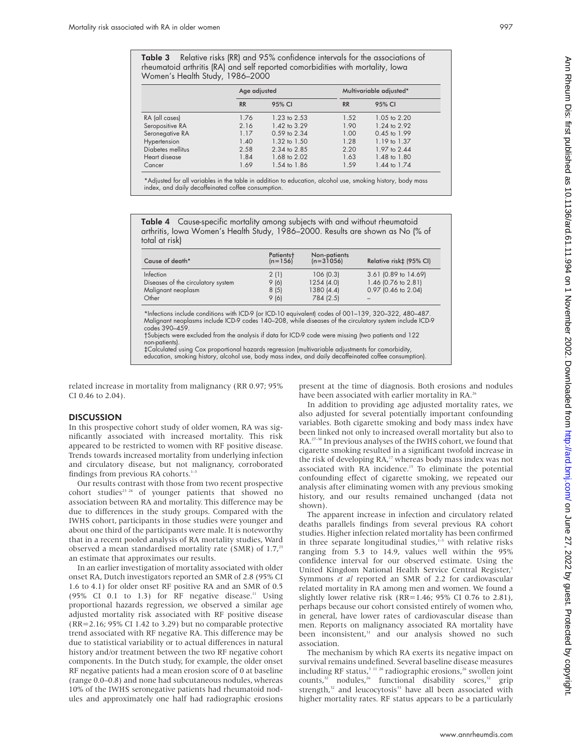Table 3 Relative risks (RR) and 95% confidence intervals for the associations of rheumatoid arthritis (RA) and self reported comorbidities with mortality, Iowa Women's Health Study, 1986–2000

|                   | Age adjusted |              | Multivariable adjusted* |              |
|-------------------|--------------|--------------|-------------------------|--------------|
|                   | <b>RR</b>    | 95% CI       | <b>RR</b>               | 95% CI       |
| RA (all cases)    | 1.76         | 1.23 to 2.53 | 1.52                    | 1.05 to 2.20 |
| Seropositive RA   | 2.16         | 1.42 to 3.29 | 1.90                    | 1.24 to 2.92 |
| Seronegative RA   | 1.17         | 0.59 to 2.34 | 1.00                    | 0.45 to 1.99 |
| Hypertension      | 1.40         | 1.32 to 1.50 | 1.28                    | 1.19 to 1.37 |
| Diabetes mellitus | 2.58         | 2.34 to 2.85 | 2.20                    | 1.97 to 2.44 |
| Heart disease     | 1.84         | 1.68 to 2.02 | 1.63                    | 1.48 to 1.80 |
| Cancer            | 1.69         | 1.54 to 1.86 | 1.59                    | 1.44 to 1.74 |

\*Adjusted for all variables in the table in addition to education, alcohol use, smoking history, body mass index, and daily decaffeinated coffee consumption.

Table 4 Cause-specific mortality among subjects with and without rheumatoid arthritis, Iowa Women's Health Study, 1986–2000. Results are shown as No (% of total at risk)

| Cause of death*                    | Patientst<br>$(n=156)$ | Non-patients<br>$(n=31056)$ | Relative risk‡ (95% CI) |
|------------------------------------|------------------------|-----------------------------|-------------------------|
| Infection                          | 2(1)                   | 106(0.3)                    | 3.61 (0.89 to 14.69)    |
| Diseases of the circulatory system | 9(6)                   | 1254 (4.0)                  | 1.46 (0.76 to 2.81)     |
| Malignant neoplasm                 | 8(5)                   | 1380 (4.4)                  | 0.97 (0.46 to 2.04)     |
| Other                              | 9(6)                   | 784 (2.5)                   |                         |

\*Infections include conditions with ICD-9 (or ICD-10 equivalent) codes of 001–139, 320–322, 480–487. Malignant neoplasms include ICD-9 codes 140–208, while diseases of the circulatory system include ICD-9 codes 390–459.

†Subjects were excluded from the analysis if data for ICD-9 code were missing (two patients and 122 non-patients). ‡Calculated using Cox proportional hazards regression (multivariable adjustments for comorbidity,

education, smoking history, alcohol use, body mass index, and daily decaffeinated coffee consumption).

related increase in mortality from malignancy (RR 0.97; 95% CI 0.46 to 2.04).

# present at the time of diagnosis. Both erosions and nodules have been associated with earlier mortality in RA.<sup>26</sup>

# **DISCUSSION**

In this prospective cohort study of older women, RA was significantly associated with increased mortality. This risk appeared to be restricted to women with RF positive disease. Trends towards increased mortality from underlying infection and circulatory disease, but not malignancy, corroborated findings from previous RA cohorts.<sup>1-3</sup>

Our results contrast with those from two recent prospective cohort studies<sup>23 24</sup> of younger patients that showed no association between RA and mortality. This difference may be due to differences in the study groups. Compared with the IWHS cohort, participants in those studies were younger and about one third of the participants were male. It is noteworthy that in a recent pooled analysis of RA mortality studies, Ward observed a mean standardised mortality rate (SMR) of  $1.7<sup>25</sup>$ an estimate that approximates our results.

In an earlier investigation of mortality associated with older onset RA, Dutch investigators reported an SMR of 2.8 (95% CI 1.6 to 4.1) for older onset RF positive RA and an SMR of 0.5 (95% CI 0.1 to 1.3) for RF negative disease.<sup>11</sup> Using proportional hazards regression, we observed a similar age adjusted mortality risk associated with RF positive disease (RR=2.16; 95% CI 1.42 to 3.29) but no comparable protective trend associated with RF negative RA. This difference may be due to statistical variability or to actual differences in natural history and/or treatment between the two RF negative cohort components. In the Dutch study, for example, the older onset RF negative patients had a mean erosion score of 0 at baseline (range 0.0–0.8) and none had subcutaneous nodules, whereas 10% of the IWHS seronegative patients had rheumatoid nodules and approximately one half had radiographic erosions

In addition to providing age adjusted mortality rates, we also adjusted for several potentially important confounding variables. Both cigarette smoking and body mass index have been linked not only to increased overall mortality but also to RA.27–30 In previous analyses of the IWHS cohort, we found that cigarette smoking resulted in a significant twofold increase in the risk of developing RA,<sup>17</sup> whereas body mass index was not associated with RA incidence.15 To eliminate the potential confounding effect of cigarette smoking, we repeated our analysis after eliminating women with any previous smoking history, and our results remained unchanged (data not shown).

The apparent increase in infection and circulatory related deaths parallels findings from several previous RA cohort studies. Higher infection related mortality has been confirmed in three separate longitudinal studies, $1-3$  with relative risks ranging from 5.3 to 14.9, values well within the 95% confidence interval for our observed estimate. Using the United Kingdom National Health Service Central Register,<sup>1</sup> Symmons *et al* reported an SMR of 2.2 for cardiovascular related mortality in RA among men and women. We found a slightly lower relative risk (RR=1.46; 95% CI 0.76 to 2.81), perhaps because our cohort consisted entirely of women who, in general, have lower rates of cardiovascular disease than men. Reports on malignancy associated RA mortality have been inconsistent,<sup>31</sup> and our analysis showed no such association.

The mechanism by which RA exerts its negative impact on survival remains undefined. Several baseline disease measures including RF status,<sup>3 11 26</sup> radiographic erosions,<sup>26</sup> swollen joint counts,<sup>32</sup> nodules,<sup>26</sup> functional disability scores,<sup>32</sup> grip strength,<sup>32</sup> and leucocytosis<sup>33</sup> have all been associated with higher mortality rates. RF status appears to be a particularly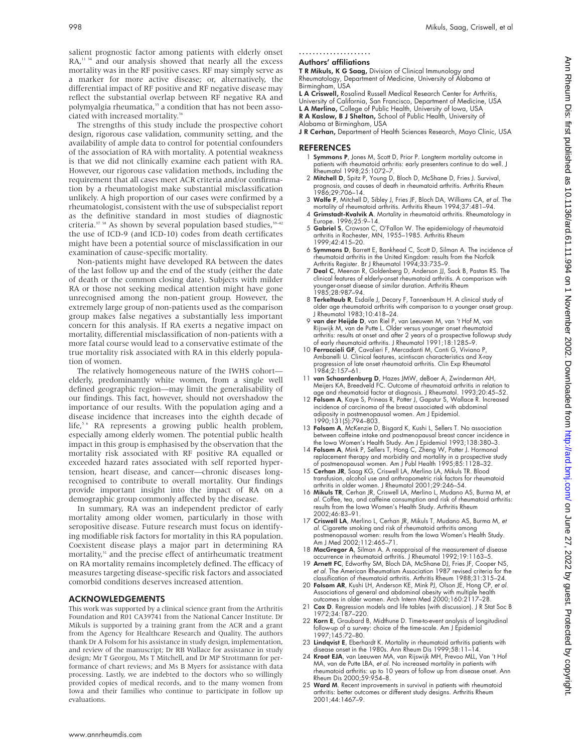salient prognostic factor among patients with elderly onset RA,<sup>11 34</sup> and our analysis showed that nearly all the excess mortality was in the RF positive cases. RF may simply serve as a marker for more active disease; or, alternatively, the differential impact of RF positive and RF negative disease may reflect the substantial overlap between RF negative RA and polymyalgia rheumatica,<sup>35</sup> a condition that has not been associated with increased mortality.<sup>36</sup>

The strengths of this study include the prospective cohort design, rigorous case validation, community setting, and the availability of ample data to control for potential confounders of the association of RA with mortality. A potential weakness is that we did not clinically examine each patient with RA. However, our rigorous case validation methods, including the requirement that all cases meet ACR criteria and/or confirmation by a rheumatologist make substantial misclassification unlikely. A high proportion of our cases were confirmed by a rheumatologist, consistent with the use of subspecialist report as the definitive standard in most studies of diagnostic criteria.<sup>37 38</sup> As shown by several population based studies,<sup>39-42</sup> the use of ICD-9 (and ICD-10) codes from death certificates might have been a potential source of misclassification in our examination of cause-specific mortality.

Non-patients might have developed RA between the dates of the last follow up and the end of the study (either the date of death or the common closing date). Subjects with milder RA or those not seeking medical attention might have gone unrecognised among the non-patient group. However, the extremely large group of non-patients used as the comparison group makes false negatives a substantially less important concern for this analysis. If RA exerts a negative impact on mortality, differential misclassification of non-patients with a more fatal course would lead to a conservative estimate of the true mortality risk associated with RA in this elderly population of women.

The relatively homogeneous nature of the IWHS cohort elderly, predominantly white women, from a single well defined geographic region—may limit the generalisability of our findings. This fact, however, should not overshadow the importance of our results. With the population aging and a disease incidence that increases into the eighth decade of life,<sup>56</sup> RA represents a growing public health problem, especially among elderly women. The potential public health impact in this group is emphasised by the observation that the mortality risk associated with RF positive RA equalled or exceeded hazard rates associated with self reported hypertension, heart disease, and cancer—chronic diseases longrecognised to contribute to overall mortality. Our findings provide important insight into the impact of RA on a demographic group commonly affected by the disease.

In summary, RA was an independent predictor of early mortality among older women, particularly in those with seropositive disease. Future research must focus on identifying modifiable risk factors for mortality in this RA population. Coexistent disease plays a major part in determining RA mortality,<sup>31</sup> and the precise effect of antirheumatic treatment on RA mortality remains incompletely defined. The efficacy of measures targeting disease-specific risk factors and associated comorbid conditions deserves increased attention.

#### ACKNOWLEDGEMENTS

This work was supported by a clinical science grant from the Arthritis Foundation and R01 CA39741 from the National Cancer Institute. Dr Mikuls is supported by a training grant from the ACR and a grant from the Agency for Healthcare Research and Quality. The authors thank Dr A Folsom for his assistance in study design, implementation, and review of the manuscript; Dr RB Wallace for assistance in study design; Mr T Georgou, Ms T Mitchell, and Dr MP Strottmann for performance of chart reviews; and Ms B Myers for assistance with data processing. Lastly, we are indebted to the doctors who so willingly provided copies of medical records, and to the many women from Iowa and their families who continue to participate in follow up evaluations.

#### ..................... Authors' affiliations

T R Mikuls, K G Saag, Division of Clinical Immunology and Rheumatology, Department of Medicine, University of Alabama at Birmingham, USA

L A Criswell, Rosalind Russell Medical Research Center for Arthritis

University of California, San Francisco, Department of Medicine, USA<br>**L A Merlino,** College of Public Health, University of Iowa, USA

- 
- **R A Kaslow, B J Shelton,** School of Public Health, University of<br>Alabama at Birmingham, USA

J R Cerhan, Department of Health Sciences Research, Mayo Clinic, USA

#### REFERENCES

- Symmons P, Jones M, Scott D, Prior P. Longterm mortality outcome in patients with rheumatoid arthritis: early presenters continue to do well. J Rheumatol 1998;25:1072–7.
- 2 Mitchell D, Spitz P, Young D, Bloch D, McShane D, Fries J. Survival, prognosis, and causes of death in rheumatoid arthritis. Arthritis Rheum 1986;29:706–14.
- 3 Wolfe F, Mitchell D, Sibley J, Fries JF, Bloch DA, Williams CA, et al. The mortality of rheumatoid arthritis. Arthritis Rheum 1994;37:481–94.
- 4 Grimstadt-Kvalvik A. Mortality in rheumatoid arthritis. Rheumatology in Europe. 1996;25:9–14.
- 5 Gabriel S, Crowson C, O'Fallon W. The epidemiology of rheumatoid arthritis in Rochester, MN, 1955–1985. Arthritis Rheum 1999;42:415–20.
- 6 Symmons D, Barrett E, Bankhead C, Scott D, Silman A. The incidence of rheumatoid arthritis in the United Kingdom: results from the Norfolk Arthritis Register. Br J Rheumatol 1994;33:735–9.
- 7 Deal C, Meenan R, Goldenberg D, Anderson JJ, Sack B, Pastan RS. The clinical features of elderly-onset rheumatoid arthritis. A comparison with younger-onset disease of similar duration. Arthritis Rheum 1985;28:987–94.
- 8 Terkeltaub R, Esdaile J, Decary F, Tannenbaum H. A clinical study of older age rheumatoid arthritis with comparison to a younger onset group. J Rheumatol 1983;10:418–24.
- van der Heijde D, van Riel P, van Leeuwen M, van 't Hof M, van Rijswijk M, van de Putte L. Older versus younger onset rheumatoid arthritis: results at onset and after 2 years of a prospective followup study of early rheumatoid arthritis. J Rheumatol 1991;18:1285–9.
- 10 Ferraccioli GF, Cavalieri F, Mercadanti M, Conti G, Viviano P, Ambanelli U. Clinical features, scintiscan characteristics and X-ray progression of late onset rheumatoid arthritis. Clin Exp Rheumatol 1984;2:157–61.
- 11 van Schaardenburg D, Hazes JMW, deBoer A, Zwinderman AH, Meijers KA, Breedveld FC. Outcome of rheumatoid arthritis in relation to age and rheumatoid factor at diagnosis. J Rheumatol. 1993;20:45–52.
- 12 Folsom A, Kaye S, Prineas R, Potter J, Gapstur S, Wallace R. Increased incidence of carcinoma of the breast associated with abdominal adiposity in postmenopausal women. Am J Epidemiol. 1990;131(5):794–803.
- 13 Folsom A, McKenzie D, Bisgard K, Kushi L, Sellers T. No association between caffeine intake and postmenopausal breast cancer incidence in
- the Iowa Women's Health Study. Am J Epidemiol 1993;138:380–3.<br>14 **Folsom A**, Mink P, Sellers T, Hong C, Zheng W, Potter J. Hormonal replacement therapy and morbidity and mortality in a prospective study of postmenopausal women. Am J Publ Health 1995;85:1128–32.
- 15 Cerhan JR, Saag KG, Criswell LA, Merlino LA, Mikuls TR. Blood transfusion, alcohol use and anthropometric risk factors for rheumatoid arthritis in older women. J Rheumatol 2001;29:246–54. 16 Mikuls TR, Cerhan JR, Criswell LA, Merlino L, Mudano AS, Burma M, et
- al. Coffee, tea, and caffeine consumption and risk of rheumatoid arthritis: results from the Iowa Women's Health Study. Arthritis Rheum 2002;46:83–91.
- 17 Criswell LA, Merlino L, Cerhan JR, Mikuls T, Mudano AS, Burma M, et al. Cigarette smoking and risk of rheumatoid arthritis among postmenopausal women: results from the Iowa Women's Health Study. Am J Med 2002;112:465–71.
- 18 MacGregor A, Silman A. A reappraisal of the measurement of disease occurrence in rheumatoid arthritis. J Rheumatol 1992;19:1163–5.
- 19 Arnett FC, Edworthy SM, Bloch DA, McShane DJ, Fries JF, Cooper NS, et al. The American Rheumatism Association 1987 revised criteria for the
- classification of rheumatoid arthritis. Arthritis Rheum 1988;31:315–24.<br>20 **Folsom AR**, Kushi LH, Anderson KE, Mink PJ, Olson JE, Hong CP, *et al*. Associations of general and abdominal obesity with multiple health outcomes in older women. Arch Intern Med 2000;160:2117-28
- Cox D. Regression models and life tables (with discussion). J R Stat Soc B 1972;34:187–220.
- 22 Korn E, Graubard B, Midthune D. Time-to-event analysis of longitudinal follow-up of a survey: choice of the time-scale. Am J Epidemiol 1997;145:72–80.
- 23 Lindqvist E, Eberhardt K. Mortality in rheumatoid arthritis patients with disease onset in the 1980s. Ann Rheum Dis 1999;58:11–14.
- 24 Kroot EJA, van Leeuwen MA, van Rijswijk MH, Prevoo MLL, Van 't Hof MA, van de Putte LBA, et al. No increased mortality in patients with rheumatoid arthritis: up to 10 years of follow up from disease onset. Ann Rheum Dis 2000;59:954–8.
- 25 Ward M. Recent improvements in survival in patients with rheumatoid arthritis: better outcomes or different study designs. Arthritis Rheum 2001;44:1467–9.